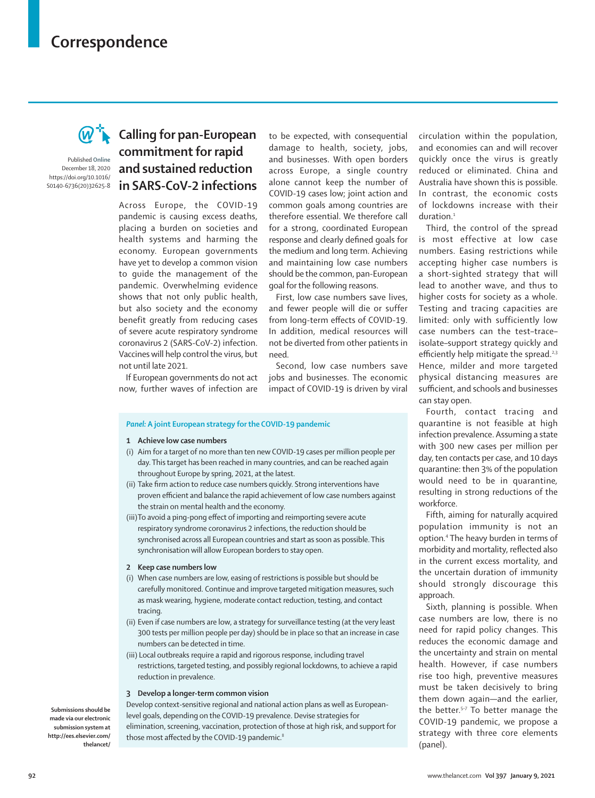# **Correspondence**



Published **Online** December 18, 2020 https://doi.org/10.1016/ S0140-6736(20)32625-8

## **Calling for pan-European commitment for rapid and sustained reduction in SARS-CoV-2 infections**

Across Europe, the COVID-19 pandemic is causing excess deaths, placing a burden on societies and health systems and harming the economy. European governments have yet to develop a common vision to guide the management of the pandemic. Overwhelming evidence shows that not only public health, but also society and the economy benefit greatly from reducing cases of severe acute respiratory syndrome coronavirus 2 (SARS-CoV-2) infection. Vaccines will help control the virus, but not until late 2021.

If European governments do not act now, further waves of infection are

to be expected, with consequential damage to health, society, jobs, and businesses. With open borders across Europe, a single country alone cannot keep the number of COVID-19 cases low; joint action and common goals among countries are therefore essential. We therefore call for a strong, coordinated European response and clearly defined goals for the medium and long term. Achieving and maintaining low case numbers should be the common, pan-European goal for the following reasons.

First, low case numbers save lives, and fewer people will die or suffer from long-term effects of COVID-19. In addition, medical resources will not be diverted from other patients in need.

Second, low case numbers save jobs and businesses. The economic impact of COVID-19 is driven by viral

### *Panel:* **A joint European strategy for the COVID-19 pandemic**

- **1 Achieve low case numbers**
- (i) Aim for a target of no more than ten new COVID-19 cases per million people per day. This target has been reached in many countries, and can be reached again throughout Europe by spring, 2021, at the latest.
- (ii) Take firm action to reduce case numbers quickly. Strong interventions have proven efficient and balance the rapid achievement of low case numbers against the strain on mental health and the economy.
- (iii)To avoid a ping-pong effect of importing and reimporting severe acute respiratory syndrome coronavirus 2 infections, the reduction should be synchronised across all European countries and start as soon as possible. This synchronisation will allow European borders to stay open.
- **2 Keep case numbers low**
- (i) When case numbers are low, easing of restrictions is possible but should be carefully monitored. Continue and improve targeted mitigation measures, such as mask wearing, hygiene, moderate contact reduction, testing, and contact tracing.
- (ii) Even if case numbers are low, a strategy for surveillance testing (at the very least 300 tests per million people per day) should be in place so that an increase in case numbers can be detected in time.
- (iii) Local outbreaks require a rapid and rigorous response, including travel restrictions, targeted testing, and possibly regional lockdowns, to achieve a rapid reduction in prevalence.

#### **3 Develop a longer-term common vision**

**Submissions should be made via our electronic submission system at http://ees.elsevier.com/ thelancet/**

Develop context-sensitive regional and national action plans as well as Europeanlevel goals, depending on the COVID-19 prevalence. Devise strategies for elimination, screening, vaccination, protection of those at high risk, and support for those most affected by the COVID-19 pandemic.<sup>8</sup>

circulation within the population, and economies can and will recover quickly once the virus is greatly reduced or eliminated. China and Australia have shown this is possible. In contrast, the economic costs of lockdowns increase with their duration.<sup>1</sup>

Third, the control of the spread is most effective at low case numbers. Easing restrictions while accepting higher case numbers is a short-sighted strategy that will lead to another wave, and thus to higher costs for society as a whole. Testing and tracing capacities are limited: only with sufficiently low case numbers can the test–trace– isolate–support strategy quickly and efficiently help mitigate the spread.<sup>2,3</sup> Hence, milder and more targeted physical distancing measures are sufficient, and schools and businesses can stay open.

Fourth, contact tracing and quarantine is not feasible at high infection prevalence. Assuming a state with 300 new cases per million per day, ten contacts per case, and 10 days quarantine: then 3% of the population would need to be in quarantine*,*  resulting in strong reductions of the workforce.

Fifth, aiming for naturally acquired population immunity is not an option.4 The heavy burden in terms of morbidity and mortality, reflected also in the current excess mortality, and the uncertain duration of immunity should strongly discourage this approach.

Sixth, planning is possible. When case numbers are low, there is no need for rapid policy changes. This reduces the economic damage and the uncertainty and strain on mental health. However, if case numbers rise too high, preventive measures must be taken decisively to bring them down again—and the earlier, the better.5–7 To better manage the COVID-19 pandemic, we propose a strategy with three core elements (panel).